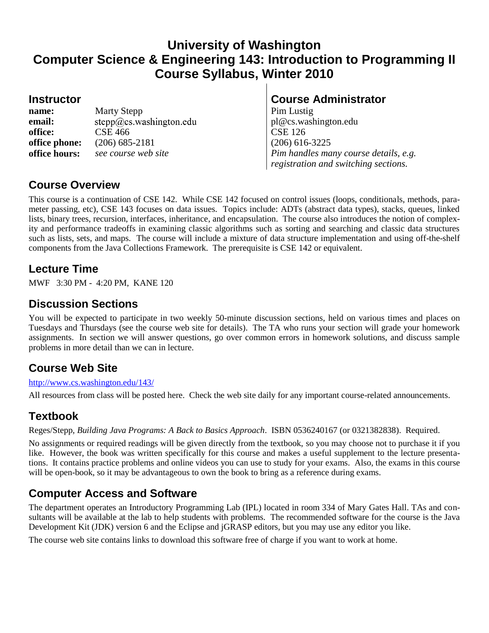# **University of Washington Computer Science & Engineering 143: Introduction to Programming II Course Syllabus, Winter 2010**

| name:         | <b>Marty Stepp</b>      |
|---------------|-------------------------|
| email:        | stepp@cs.washington.edu |
| office:       | <b>CSE 466</b>          |
| office phone: | $(206) 685 - 2181$      |
| office hours: | see course web site     |

#### **Instructor Course Administrator**

**Pim Lustig email:** pl@cs.washington.edu **CSE 126 office phone:** (206) 685-2181 (206) 616-3225 *Pim handles many course details, e.g. registration and switching sections.*

## **Course Overview**

This course is a continuation of CSE 142. While CSE 142 focused on control issues (loops, conditionals, methods, parameter passing, etc), CSE 143 focuses on data issues. Topics include: ADTs (abstract data types), stacks, queues, linked lists, binary trees, recursion, interfaces, inheritance, and encapsulation. The course also introduces the notion of complexity and performance tradeoffs in examining classic algorithms such as sorting and searching and classic data structures such as lists, sets, and maps. The course will include a mixture of data structure implementation and using off-the-shelf components from the Java Collections Framework. The prerequisite is CSE 142 or equivalent.

# **Lecture Time**

MWF 3:30 PM - 4:20 PM, KANE 120

## **Discussion Sections**

You will be expected to participate in two weekly 50-minute discussion sections, held on various times and places on Tuesdays and Thursdays (see the course web site for details). The TA who runs your section will grade your homework assignments. In section we will answer questions, go over common errors in homework solutions, and discuss sample problems in more detail than we can in lecture.

## **Course Web Site**

#### <http://www.cs.washington.edu/143/>

All resources from class will be posted here. Check the web site daily for any important course-related announcements.

# **Textbook**

Reges/Stepp, *Building Java Programs: A Back to Basics Approach*. ISBN 0536240167 (or 0321382838). Required.

No assignments or required readings will be given directly from the textbook, so you may choose not to purchase it if you like. However, the book was written specifically for this course and makes a useful supplement to the lecture presentations. It contains practice problems and online videos you can use to study for your exams. Also, the exams in this course will be open-book, so it may be advantageous to own the book to bring as a reference during exams.

## **Computer Access and Software**

The department operates an Introductory Programming Lab (IPL) located in room 334 of Mary Gates Hall. TAs and consultants will be available at the lab to help students with problems. The recommended software for the course is the Java Development Kit (JDK) version 6 and the Eclipse and jGRASP editors, but you may use any editor you like.

The course web site contains links to download this software free of charge if you want to work at home.